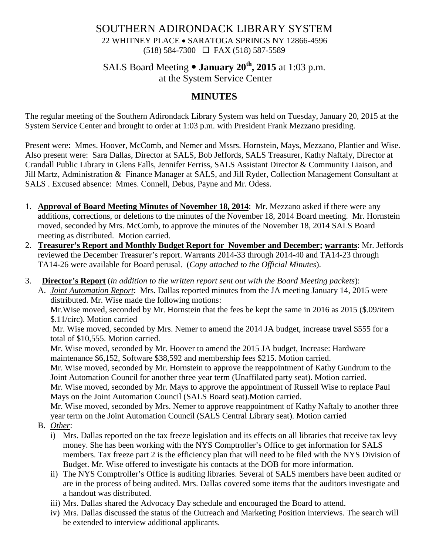#### SOUTHERN ADIRONDACK LIBRARY SYSTEM 22 WHITNEY PLACE • SARATOGA SPRINGS NY 12866-4596 (518) 584-7300 FAX (518) 587-5589

## SALS Board Meeting **January 20th, 2015** at 1:03 p.m. at the System Service Center

# **MINUTES**

The regular meeting of the Southern Adirondack Library System was held on Tuesday, January 20, 2015 at the System Service Center and brought to order at 1:03 p.m. with President Frank Mezzano presiding.

Present were: Mmes. Hoover, McComb, and Nemer and Mssrs. Hornstein, Mays, Mezzano, Plantier and Wise. Also present were: Sara Dallas, Director at SALS, Bob Jeffords, SALS Treasurer, Kathy Naftaly, Director at Crandall Public Library in Glens Falls, Jennifer Ferriss, SALS Assistant Director & Community Liaison, and Jill Martz, Administration & Finance Manager at SALS, and Jill Ryder, Collection Management Consultant at SALS . Excused absence: Mmes. Connell, Debus, Payne and Mr. Odess.

- 1. **Approval of Board Meeting Minutes of November 18, 2014**: Mr. Mezzano asked if there were any additions, corrections, or deletions to the minutes of the November 18, 2014 Board meeting. Mr. Hornstein moved, seconded by Mrs. McComb, to approve the minutes of the November 18, 2014 SALS Board meeting as distributed. Motion carried.
- 2. **Treasurer's Report and Monthly Budget Report for November and December; warrants**: Mr. Jeffords reviewed the December Treasurer's report. Warrants 2014-33 through 2014-40 and TA14-23 through TA14-26 were available for Board perusal. (*Copy attached to the Official Minutes*).
- 3. **Director's Report** (*in addition to the written report sent out with the Board Meeting packets*):

A. *Joint Automation Report*: Mrs. Dallas reported minutes from the JA meeting January 14, 2015 were distributed. Mr. Wise made the following motions:

Mr.Wise moved, seconded by Mr. Hornstein that the fees be kept the same in 2016 as 2015 (\$.09/item \$.11/circ). Motion carried

Mr. Wise moved, seconded by Mrs. Nemer to amend the 2014 JA budget, increase travel \$555 for a total of \$10,555. Motion carried.

Mr. Wise moved, seconded by Mr. Hoover to amend the 2015 JA budget, Increase: Hardware maintenance \$6,152, Software \$38,592 and membership fees \$215. Motion carried.

Mr. Wise moved, seconded by Mr. Hornstein to approve the reappointment of Kathy Gundrum to the Joint Automation Council for another three year term (Unaffilated party seat). Motion carried.

Mr. Wise moved, seconded by Mr. Mays to approve the appointment of Russell Wise to replace Paul Mays on the Joint Automation Council (SALS Board seat).Motion carried.

Mr. Wise moved, seconded by Mrs. Nemer to approve reappointment of Kathy Naftaly to another three year term on the Joint Automation Council (SALS Central Library seat). Motion carried

- B. *Other*:
	- i) Mrs. Dallas reported on the tax freeze legislation and its effects on all libraries that receive tax levy money. She has been working with the NYS Comptroller's Office to get information for SALS members. Tax freeze part 2 is the efficiency plan that will need to be filed with the NYS Division of Budget. Mr. Wise offered to investigate his contacts at the DOB for more information.
	- ii) The NYS Comptroller's Office is auditing libraries. Several of SALS members have been audited or are in the process of being audited. Mrs. Dallas covered some items that the auditors investigate and a handout was distributed.
	- iii) Mrs. Dallas shared the Advocacy Day schedule and encouraged the Board to attend.
	- iv) Mrs. Dallas discussed the status of the Outreach and Marketing Position interviews. The search will be extended to interview additional applicants.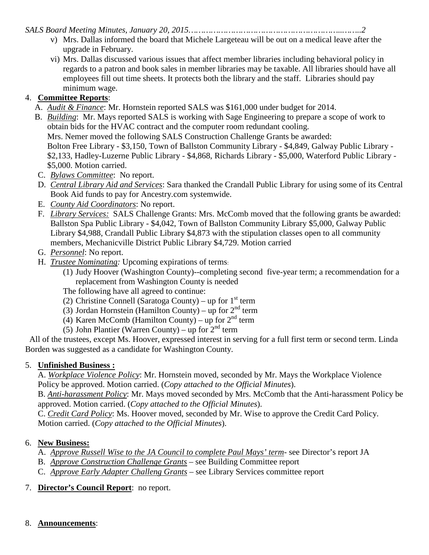*SALS Board Meeting Minutes, January 20, 2015……………………………………………………..……..2*

- v) Mrs. Dallas informed the board that Michele Largeteau will be out on a medical leave after the upgrade in February.
- vi) Mrs. Dallas discussed various issues that affect member libraries including behavioral policy in regards to a patron and book sales in member libraries may be taxable. All libraries should have all employees fill out time sheets. It protects both the library and the staff. Libraries should pay minimum wage.

# 4. **Committee Reports**:

- A. *Audit & Finance*: Mr. Hornstein reported SALS was \$161,000 under budget for 2014.
- B. *Building*: Mr. Mays reported SALS is working with Sage Engineering to prepare a scope of work to obtain bids for the HVAC contract and the computer room redundant cooling. Mrs. Nemer moved the following SALS Construction Challenge Grants be awarded: Bolton Free Library - \$3,150, Town of Ballston Community Library - \$4,849, Galway Public Library - \$2,133, Hadley-Luzerne Public Library - \$4,868, Richards Library - \$5,000, Waterford Public Library - \$5,000. Motion carried.
- C. *Bylaws Committee*: No report.
- D. *Central Library Aid and Services*: Sara thanked the Crandall Public Library for using some of its Central Book Aid funds to pay for Ancestry.com systemwide.
- E. *County Aid Coordinators*: No report.
- F. *Library Services:* SALS Challenge Grants: Mrs. McComb moved that the following grants be awarded: Ballston Spa Public Library - \$4,042, Town of Ballston Community Library \$5,000, Galway Public Library \$4,988, Crandall Public Library \$4,873 with the stipulation classes open to all community members, Mechanicville District Public Library \$4,729. Motion carried
- G. *Personnel*: No report.
- H. *Trustee Nominating:* Upcoming expirations of terms:
	- (1) Judy Hoover (Washington County)--completing second five-year term; a recommendation for a replacement from Washington County is needed

The following have all agreed to continue:

- (2) Christine Connell (Saratoga County) up for  $1<sup>st</sup>$  term
- (3) Jordan Hornstein (Hamilton County) up for  $2<sup>nd</sup>$  term
- (4) Karen McComb (Hamilton County) up for  $2<sup>nd</sup>$  term
- (5) John Plantier (Warren County) up for  $2<sup>nd</sup>$  term

All of the trustees, except Ms. Hoover, expressed interest in serving for a full first term or second term. Linda Borden was suggested as a candidate for Washington County.

#### 5. **Unfinished Business :**

A. *Workplace Violence Policy*: Mr. Hornstein moved, seconded by Mr. Mays the Workplace Violence Policy be approved. Motion carried. (*Copy attached to the Official Minutes*).

B. *Anti-harassment Policy*: Mr. Mays moved seconded by Mrs. McComb that the Anti-harassment Policy be approved. Motion carried. (*Copy attached to the Official Minutes*).

C. *Credit Card Policy*: Ms. Hoover moved, seconded by Mr. Wise to approve the Credit Card Policy. Motion carried. (*Copy attached to the Official Minutes*).

### 6. **New Business:**

- A. *Approve Russell Wise to the JA Council to complete Paul Mays' term* see Director's report JA
- B. *Approve Construction Challenge Grants* see Building Committee report
- C. *Approve Early Adapter Challeng Grants* see Library Services committee report
- 7. **Director's Council Report**: no report.
- 8. **Announcements**: